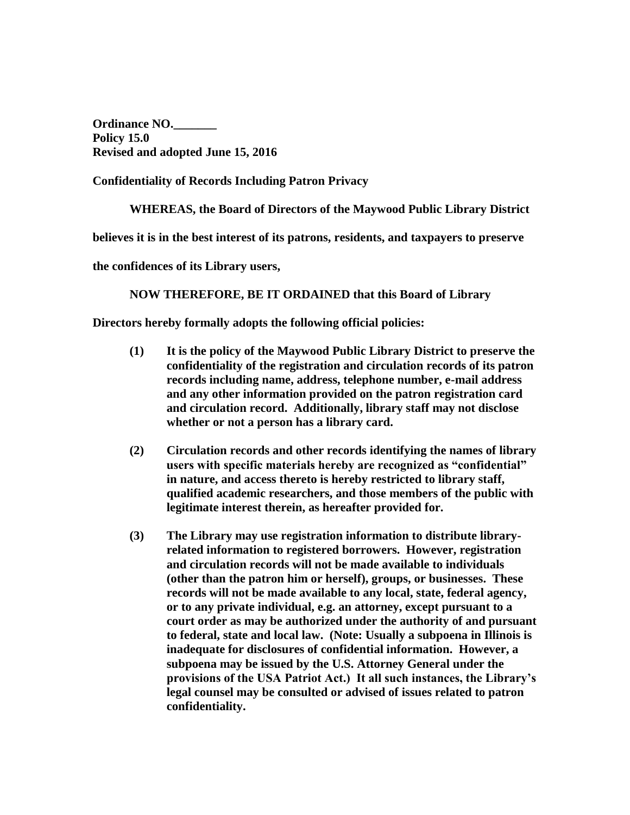**Ordinance NO.\_\_\_\_\_\_\_ Policy 15.0 Revised and adopted June 15, 2016**

**Confidentiality of Records Including Patron Privacy**

**WHEREAS, the Board of Directors of the Maywood Public Library District** 

**believes it is in the best interest of its patrons, residents, and taxpayers to preserve** 

**the confidences of its Library users,**

**NOW THEREFORE, BE IT ORDAINED that this Board of Library** 

**Directors hereby formally adopts the following official policies:**

- **(1) It is the policy of the Maywood Public Library District to preserve the confidentiality of the registration and circulation records of its patron records including name, address, telephone number, e-mail address and any other information provided on the patron registration card and circulation record. Additionally, library staff may not disclose whether or not a person has a library card.**
- **(2) Circulation records and other records identifying the names of library users with specific materials hereby are recognized as "confidential" in nature, and access thereto is hereby restricted to library staff, qualified academic researchers, and those members of the public with legitimate interest therein, as hereafter provided for.**
- **(3) The Library may use registration information to distribute libraryrelated information to registered borrowers. However, registration and circulation records will not be made available to individuals (other than the patron him or herself), groups, or businesses. These records will not be made available to any local, state, federal agency, or to any private individual, e.g. an attorney, except pursuant to a court order as may be authorized under the authority of and pursuant to federal, state and local law. (Note: Usually a subpoena in Illinois is inadequate for disclosures of confidential information. However, a subpoena may be issued by the U.S. Attorney General under the provisions of the USA Patriot Act.) It all such instances, the Library's legal counsel may be consulted or advised of issues related to patron confidentiality.**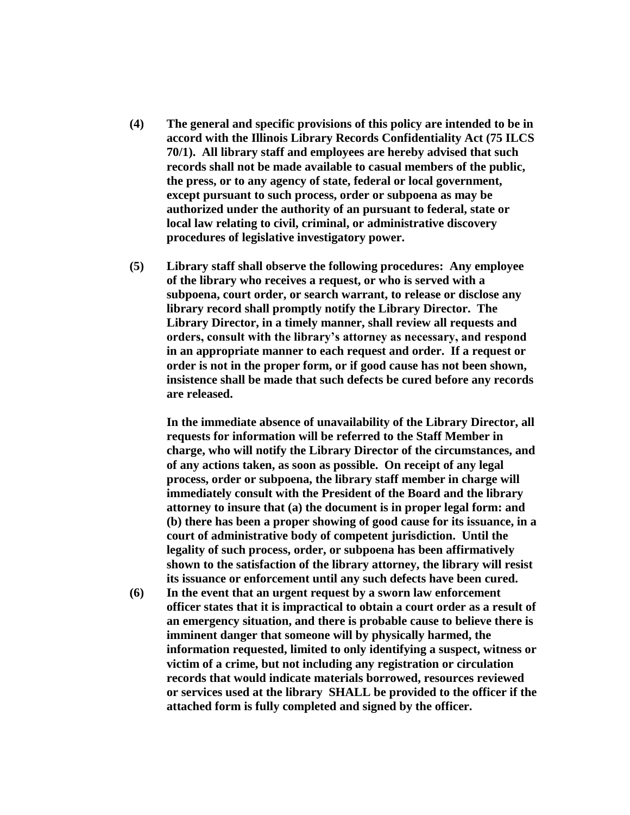- **(4) The general and specific provisions of this policy are intended to be in accord with the Illinois Library Records Confidentiality Act (75 ILCS 70/1). All library staff and employees are hereby advised that such records shall not be made available to casual members of the public, the press, or to any agency of state, federal or local government, except pursuant to such process, order or subpoena as may be authorized under the authority of an pursuant to federal, state or local law relating to civil, criminal, or administrative discovery procedures of legislative investigatory power.**
- **(5) Library staff shall observe the following procedures: Any employee of the library who receives a request, or who is served with a subpoena, court order, or search warrant, to release or disclose any library record shall promptly notify the Library Director. The Library Director, in a timely manner, shall review all requests and orders, consult with the library's attorney as necessary, and respond in an appropriate manner to each request and order. If a request or order is not in the proper form, or if good cause has not been shown, insistence shall be made that such defects be cured before any records are released.**

**In the immediate absence of unavailability of the Library Director, all requests for information will be referred to the Staff Member in charge, who will notify the Library Director of the circumstances, and of any actions taken, as soon as possible. On receipt of any legal process, order or subpoena, the library staff member in charge will immediately consult with the President of the Board and the library attorney to insure that (a) the document is in proper legal form: and (b) there has been a proper showing of good cause for its issuance, in a court of administrative body of competent jurisdiction. Until the legality of such process, order, or subpoena has been affirmatively shown to the satisfaction of the library attorney, the library will resist its issuance or enforcement until any such defects have been cured.**

**(6) In the event that an urgent request by a sworn law enforcement officer states that it is impractical to obtain a court order as a result of an emergency situation, and there is probable cause to believe there is imminent danger that someone will by physically harmed, the information requested, limited to only identifying a suspect, witness or victim of a crime, but not including any registration or circulation records that would indicate materials borrowed, resources reviewed or services used at the library SHALL be provided to the officer if the attached form is fully completed and signed by the officer.**